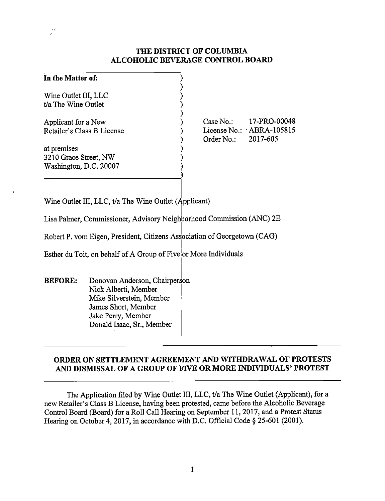## **THE DISTRICT OF COLUMBIA ALCOHOLIC BEVERAGE CONTROL BOARD**

| In the Matter of:          |                            |
|----------------------------|----------------------------|
|                            |                            |
| Wine Outlet III, LLC       |                            |
| t/a The Wine Outlet        |                            |
| Applicant for a New        | 17-PRO-00048<br>Case No.   |
| Retailer's Class B License | License No.: $ABRA-105815$ |
|                            | 2017-605<br>Order No.:     |
| at premises                |                            |
| 3210 Grace Street, NW      |                            |
| Washington, D.C. 20007     |                            |
|                            |                            |

Wine Outlet III, LLC,  $t/a$  The Wine Outlet (Applicant)

 $\mathcal{S}^2$ 

I Lisa Palmer, Commissioner, Advisory Neighborhood Commission (ANC) 2E

Robert P. vom Eigen, President, Citizens Association of Georgetown (CAG)

I Esther du Toit, on behalf of A Group of Fivelor More Individuals

**BEFORE:** Donovan Anderson, Chairperson Nick Alberti, Member <sup>j</sup> Mike Silverstein, Member , James Short, Member Jake Perry, Member Donald Isaac, Sr., Member

# **ORDER ON SETTLEMENT AGREEMENT AND WITHDRAWAL OF PROTESTS** AND DISMISSAL OF A GROUP OF FIVE OR MORE INDIVIDUALS' PROTEST

The Application filed by Wine Outlet III, LLC, t/a The Wine Outlet (Applicant), for a new Retailer's Class B License, having been protested, came before the Alcoholic Beverage Control Board (Board) for a Roll Call Hearing on September 11, 2017, and a Protest Status Hearing on October 4, 2017, in accordance with D.C. Official Code § 25-601 (2001).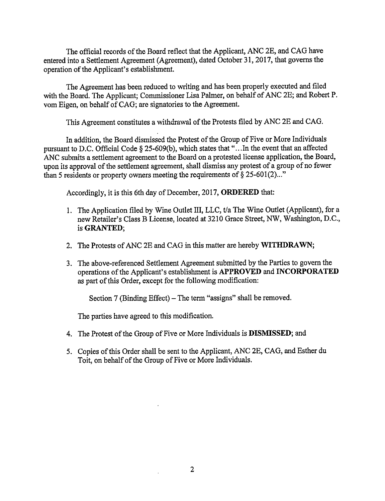The official records of the Board reflect that the Applicant, ANC 2E, and CAG have entered into a Settlement Agreement (Agreement), dated October 31, 2017, that governs the operation of the Applicant's establishment.

The Agreement has been reduced to writing and has been properly executed and filed with the Board. The Applicant; Commissioner Lisa Palmer, on behalf of ANC 2E; and Robert P. vom Eigen, on behalf of CAG; are signatories to the Agreement.

This Agreement constitutes a withdrawal of the Protests filed by ANC 2E and CAG.

In addition, the Board dismissed the Protest of the Group of Five or More Individuals pursuant to D.C. Official Code § 25-609(b), which states that "... In the event that an affected ANC submits a settlement agreement to the Board on a protested license application, the Board, upon its approval of the settlement agreement, shall dismiss any protest of a group of no fewer than 5 residents or property owners meeting the requirements of  $\S 25-601(2)$ ..."

Accordingly, it is this 6th day of December, 2017, **ORDERED** that:

- 1. The Application filed by Wine Outlet III, LLC, t/a The Wine Outlet (Applicant), for a new Retailer's Class B License, located at 3210 Grace Street, NW, Washington, D.C., is **GRANTED;**
- 2. The Protests of ANC 2E and CAG in this matter are hereby **WITHDRAWN;**
- 3. The above-referenced Settlement Agreement submitted by the Parties to govern the operations of the Applicant's establishment is **APPROVED and INCORPORATED**  as part of this Order, except for the following modification:

Section 7 (Binding Effect) – The term "assigns" shall be removed.

The parties have agreed to this modification.

- 4. The Protest of the Group of Five or More Individuals is **DISMISSED;** and
- 5. Copies of this Order shall be sent to the Applicant, ANC 2E, CAG, and Esther du Toit, on behalf of the Group of Five or More Individuals.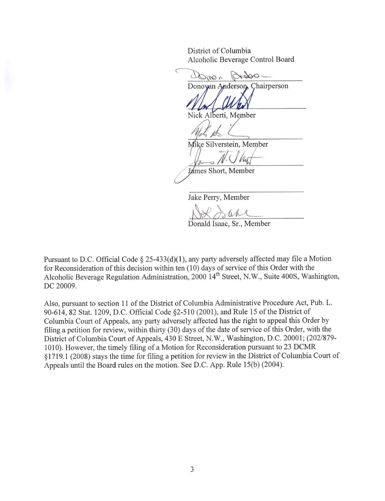District of Columbia Alcoholic Beverage Control Board

 $\subset$  $\Delta one$  $1000$ Donovan Anderson, Chairperson

Nick Alberti, Member

Mike Silverstein, Member

James Short, Member

Jake Perry, Member

*~dA-M-A-*Donald Isaac, Sr., Member

Pursuant to D.C. Official Code § 25-433(d)(1), any party adversely affected may file a Motion for Reconsideration of this decision within ten (10) days of service of this Order with the Alcoholic Beverage Regulation Administration, 2000 14<sup>th</sup> Street, N.W., Suite 400S, Washington, DC 20009.

Also, pursuant to section 11 of the District of Columbia Administrative Procedure Act, Pub. L. 90-614, 82 Stat. 1209, D.C. Official Code §2-510 (2001), and Rule 15 of the District of Columbia Court of Appeals, any party adversely affected has the right to appeal this Order by filing a petition for review, within thirty (30) days of the date of service of this Order, with the District of Columbia Court of Appeals, 430 E Street, N.W., Washington, D.C. 20001; (202/879-1010). However, the timely filing of a Motion for Reconsideration pursuant to 23 DCMR § 1719. 1 (2008) stays the time for filing a petition for review in the District of Columbia Court of Appeals until the Board rules on the motion. See D.C. App. Rule 15(b) (2004).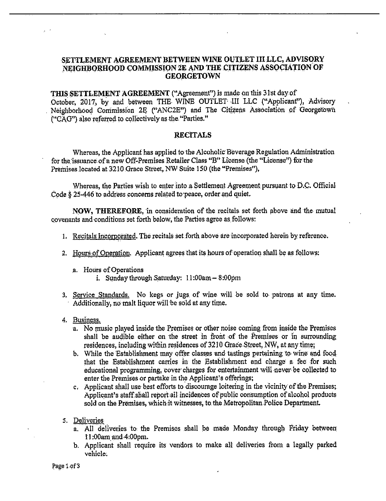#### **SETTLEMENT AGREEMENT BETWEEN WINE OUTLET IIILLC, ADVISORY**  NEIGHBORHOOD COMMISSION 2E AND THE CITIZENS ASSOCIATION OF **GEORGETOWN**

**THIS SETTLEMENT AGREEMENT ("Agreement") is made on this 31st day of** October, 2017, by and between THE WINE OUTLET III LLC ("Applicant"), Advisory Neighborhood Commission 2E ("ANC2E") and The Citizens Association of Georgetown ("CAG") also referred to collectively as the "Parties."

#### **RECITALS**

Whereas, the Applicant has applied to the Alcoholic Beverage Regulation Administration for the issuance of a new Off-Premises Retailer Class "B" License (the "License") for the Premises located at 3210 Grace Street, NW Suite 150 (the "Premises"),

Whereas, the Parties wish to enter into a Settlement Agreement pursuant to D.C. Official Code § 25-446 to address concerns related to peace, order and quiet.

**NOW, THEREFORE**, in consideration of the recitals set forth above and the mutual covenants and conditions set forth below, the Parties agree as follows:

- 1. Recitals Incorporated. The recitals set forth above are incorporated herein by reference.
- 2. Hours of Operation. Applicant agrees that its hours of operation shall be as follows:
	- .a. Hours of Operations i. Sunday through Saturday: 11 :00am- 8 :00pm
- 3, Service Standards. No kegs or jugs, of wine will be sold to- patrons at any time. Additionally, no malt liquor will be sold at any time.
- 4. Business.
	- a. No music played inside the Premises or other noise coming from inside the Premises shall be audible either on the street in front of the Premises or in surrounding residences, including within residences of  $3210$  Grace Street, NW, at any time;
	- b. While the Establishment may offer classes and tastings pertaining to wine and food. that the Establishment carries in the Establishment and charge a fee for such educational programming, cover charges for entertainment will never be collected to enter the Premises or partake in the Applicant's offerings;
	- c, Applicant shall use best efforts to discourage loitering in the vicinity of the Premises;. Applicant's staff.shall report all incidences of public consumption of alcohol products sold on the Premises, which it witnesses, to the Metropolitan Police Department.
- *5.* Deliveries
	- a. All deliveries to the Premises shall be made Monday through Friday between 11 :00am,and-4:00pm.
	- b. Applicant shall require its vendors to make alt deliveries from a legally parked vehicle, and the contract of the contract of the contract of the contract of the contract of the contract of the contract of the contract of the contract of the contract of the contract of the contract of the contract of t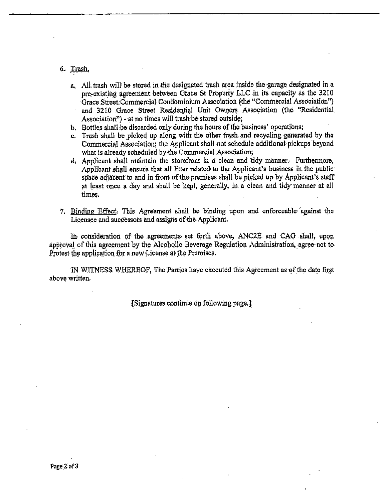### 6. Trash. Trash.

- a.. Alt trash will' be· stored in the deslgnated trash area inside the garage designated in a pre-existing agreement between Grace St Property LLC in its capacity as the 3210 Grace Street Commercial Condominium Association (the "Commercial Association") and 3210 Grace Street Residential Unit Owners. Association (the "Residential Association") - at no times will trash be stored outside;
- b. Bottles shall be discarded only during the hours of the business' operations;
- c. Trash shall be picked up along with the other trash and recycling generated by the Commercial Association; the Applicant shall not schedule additional pickups beyond what is already scheduled by the Commercial Association;
- d. Applicant shall maintain the storefront in a clean and tidy manner. Furthermore, Applicant shall ensure that all litter related to the Applicant's business in the public space adjacent to and in front of the premises. shall be picked up by Applicant's staff at least once a day and shall be kept, generally, in a clean and tidy manner at all times.
- 7. Binding Effect. This Agreement shall be binding upon and enforceable against the Licensee and successors and assigns of the Applicant.

In consideration of the agreements set forth above, ANC2E and CAG shall, upon approval of this agreement by the Alcoholic Beverage Regulation Administration, agree not to Protest the application for a new License at the Premises.

IN WITNESS WHEREOF, The Parties have executed this Agreement as of the date first above written.

{Signatures continue on following page.]